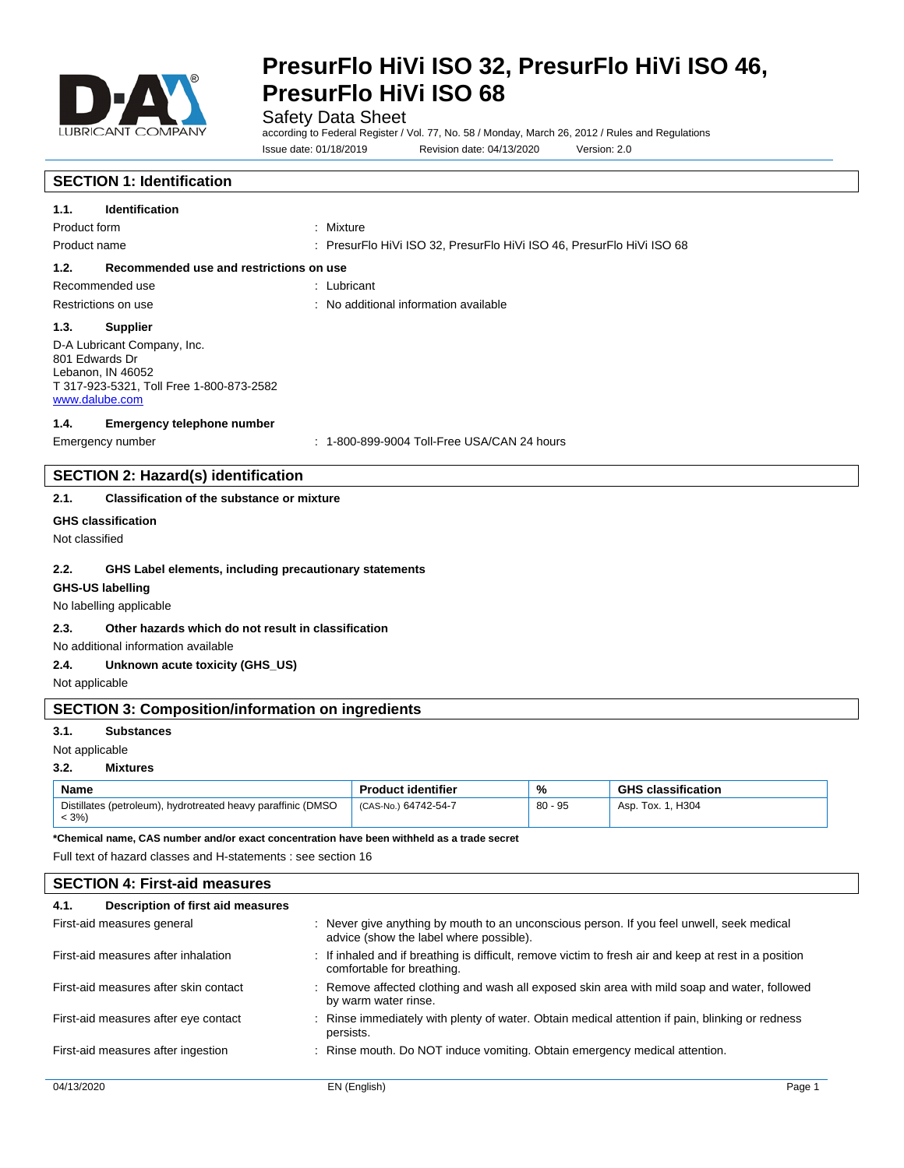

Safety Data Sheet

according to Federal Register / Vol. 77, No. 58 / Monday, March 26, 2012 / Rules and Regulations Issue date: 01/18/2019 Revision date: 04/13/2020 Version: 2.0

# **SECTION 1: Identification**

| <b>Identification</b><br>1.1.                                                                                                    |                                                                       |  |
|----------------------------------------------------------------------------------------------------------------------------------|-----------------------------------------------------------------------|--|
| Product form                                                                                                                     | : Mixture                                                             |  |
| Product name                                                                                                                     | : PresurFlo HiVi ISO 32, PresurFlo HiVi ISO 46, PresurFlo HiVi ISO 68 |  |
| Recommended use and restrictions on use<br>1.2.                                                                                  |                                                                       |  |
| Recommended use                                                                                                                  | : Lubricant                                                           |  |
| Restrictions on use                                                                                                              | : No additional information available                                 |  |
| 1.3.<br><b>Supplier</b>                                                                                                          |                                                                       |  |
| D-A Lubricant Company, Inc.<br>801 Edwards Dr<br>Lebanon, IN 46052<br>T 317-923-5321, Toll Free 1-800-873-2582<br>www.dalube.com |                                                                       |  |
| Emergency telephone number<br>1.4.                                                                                               |                                                                       |  |
| Emergency number                                                                                                                 | $: 1-800-899-9004$ Toll-Free USA/CAN 24 hours                         |  |
| <b>SECTION 2: Hazard(s) identification</b>                                                                                       |                                                                       |  |
| Classification of the substance or mixture<br>2.1.                                                                               |                                                                       |  |

#### **GHS classification**

Not classified

#### **2.2. GHS Label elements, including precautionary statements**

# **GHS-US labelling**

# No labelling applicable

# **2.3. Other hazards which do not result in classification**

No additional information available

# **2.4. Unknown acute toxicity (GHS\_US)**

Not applicable

# **SECTION 3: Composition/information on ingredients**

### **3.1. Substances**

Not applicable

### **3.2. Mixtures**

| <b>Name</b>                                                             | <b>Product identifier</b> | %         | i classification<br><b>GHS</b> |
|-------------------------------------------------------------------------|---------------------------|-----------|--------------------------------|
| Distillates (petroleum), hydrotreated heavy paraffinic (DMSO<br>$< 3\%$ | (CAS-No.) 64742-54-7      | $80 - 95$ | Asp. Tox. 1. H304              |

**\*Chemical name, CAS number and/or exact concentration have been withheld as a trade secret**

Full text of hazard classes and H-statements : see section 16

# **SECTION 4: First-aid measures**

| Description of first aid measures<br>4.1. |                                                                                                                                      |
|-------------------------------------------|--------------------------------------------------------------------------------------------------------------------------------------|
| First-aid measures general                | : Never give anything by mouth to an unconscious person. If you feel unwell, seek medical<br>advice (show the label where possible). |
| First-aid measures after inhalation       | : If inhaled and if breathing is difficult, remove victim to fresh air and keep at rest in a position<br>comfortable for breathing.  |
| First-aid measures after skin contact     | : Remove affected clothing and wash all exposed skin area with mild soap and water, followed<br>by warm water rinse.                 |
| First-aid measures after eye contact      | : Rinse immediately with plenty of water. Obtain medical attention if pain, blinking or redness<br>persists.                         |
| First-aid measures after ingestion        | : Rinse mouth. Do NOT induce vomiting. Obtain emergency medical attention.                                                           |
|                                           |                                                                                                                                      |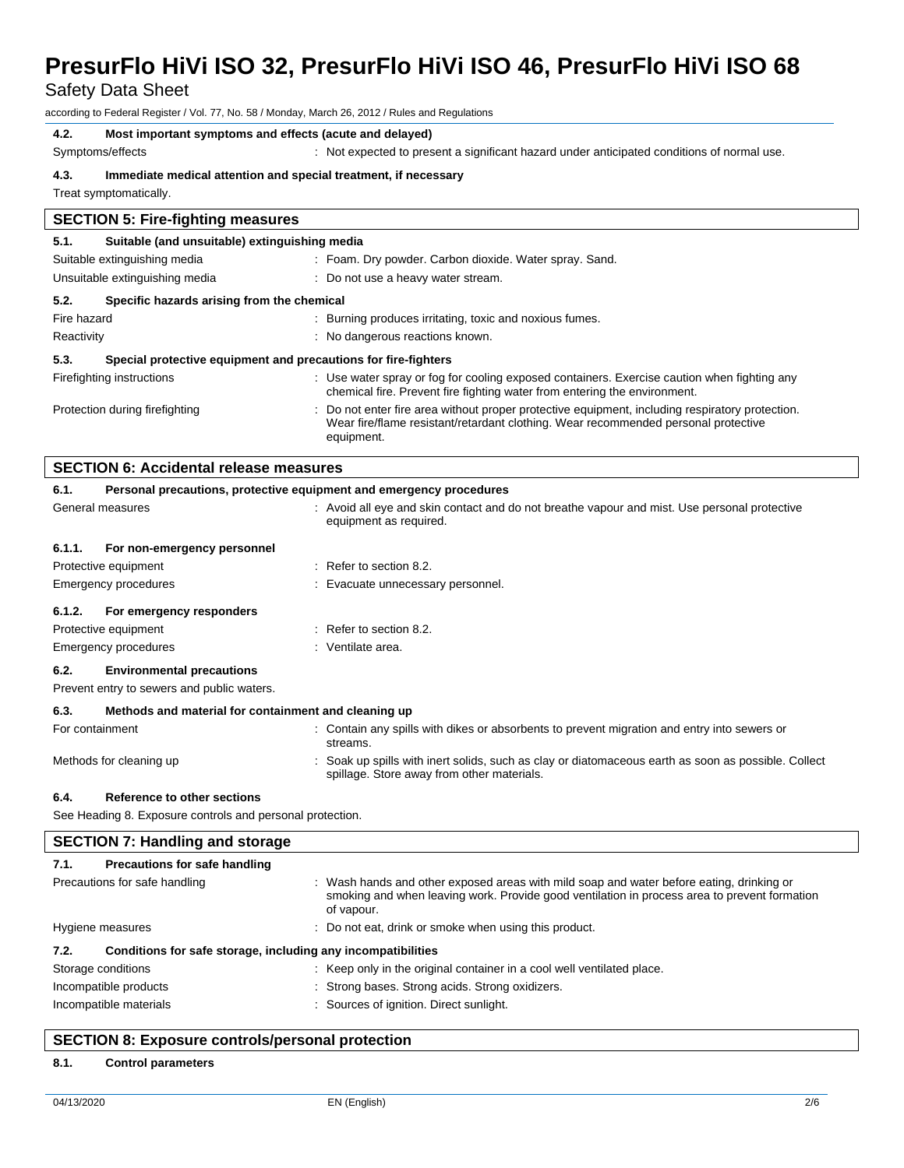Safety Data Sheet

according to Federal Register / Vol. 77, No. 58 / Monday, March 26, 2012 / Rules and Regulations

# **4.2. Most important symptoms and effects (acute and delayed)**

 $\lceil$ 

Symptoms/effects : Not expected to present a significant hazard under anticipated conditions of normal use.

# **4.3. Immediate medical attention and special treatment, if necessary**

Treat symptomatically.

| <b>SECTION 5: Fire-fighting measures</b>           |                                                                |                                                                                                                                                                                                   |  |
|----------------------------------------------------|----------------------------------------------------------------|---------------------------------------------------------------------------------------------------------------------------------------------------------------------------------------------------|--|
| 5.1.                                               | Suitable (and unsuitable) extinguishing media                  |                                                                                                                                                                                                   |  |
|                                                    | Suitable extinguishing media                                   | : Foam. Dry powder. Carbon dioxide. Water spray. Sand.                                                                                                                                            |  |
|                                                    | Unsuitable extinguishing media                                 | : Do not use a heavy water stream.                                                                                                                                                                |  |
| 5.2.<br>Specific hazards arising from the chemical |                                                                |                                                                                                                                                                                                   |  |
| Fire hazard                                        |                                                                | Burning produces irritating, toxic and noxious fumes.<br>÷                                                                                                                                        |  |
| Reactivity<br>: No dangerous reactions known.      |                                                                |                                                                                                                                                                                                   |  |
| 5.3.                                               | Special protective equipment and precautions for fire-fighters |                                                                                                                                                                                                   |  |
|                                                    | Firefighting instructions                                      | : Use water spray or fog for cooling exposed containers. Exercise caution when fighting any<br>chemical fire. Prevent fire fighting water from entering the environment.                          |  |
|                                                    | Protection during firefighting                                 | Do not enter fire area without proper protective equipment, including respiratory protection.<br>Wear fire/flame resistant/retardant clothing. Wear recommended personal protective<br>equipment. |  |

|        | <b>SECTION 6: Accidental release measures</b>                       |                                                                                                                                                   |  |
|--------|---------------------------------------------------------------------|---------------------------------------------------------------------------------------------------------------------------------------------------|--|
| 6.1.   | Personal precautions, protective equipment and emergency procedures |                                                                                                                                                   |  |
|        | General measures                                                    | : Avoid all eye and skin contact and do not breathe vapour and mist. Use personal protective<br>equipment as required.                            |  |
| 6.1.1. | For non-emergency personnel                                         |                                                                                                                                                   |  |
|        | Protective equipment                                                | $\therefore$ Refer to section 8.2.                                                                                                                |  |
|        | Emergency procedures                                                | : Evacuate unnecessary personnel.                                                                                                                 |  |
| 6.1.2. | For emergency responders                                            |                                                                                                                                                   |  |
|        | Protective equipment                                                | $\therefore$ Refer to section 8.2.                                                                                                                |  |
|        | Emergency procedures                                                | : Ventilate area.                                                                                                                                 |  |
| 6.2.   | <b>Environmental precautions</b>                                    |                                                                                                                                                   |  |
|        | Prevent entry to sewers and public waters.                          |                                                                                                                                                   |  |
| 6.3.   | Methods and material for containment and cleaning up                |                                                                                                                                                   |  |
|        | For containment                                                     | : Contain any spills with dikes or absorbents to prevent migration and entry into sewers or<br>streams.                                           |  |
|        | Methods for cleaning up                                             | : Soak up spills with inert solids, such as clay or diatomaceous earth as soon as possible. Collect<br>spillage. Store away from other materials. |  |
| 6.4.   | Reference to other sections                                         |                                                                                                                                                   |  |

See Heading 8. Exposure controls and personal protection.

| <b>SECTION 7: Handling and storage</b>                                                       |                                                                                                                                                                                                        |  |
|----------------------------------------------------------------------------------------------|--------------------------------------------------------------------------------------------------------------------------------------------------------------------------------------------------------|--|
| Precautions for safe handling<br>7.1.                                                        |                                                                                                                                                                                                        |  |
| Precautions for safe handling                                                                | : Wash hands and other exposed areas with mild soap and water before eating, drinking or<br>smoking and when leaving work. Provide good ventilation in process area to prevent formation<br>of vapour. |  |
| : Do not eat, drink or smoke when using this product.<br>Hygiene measures                    |                                                                                                                                                                                                        |  |
| Conditions for safe storage, including any incompatibilities<br>7.2.                         |                                                                                                                                                                                                        |  |
| : Keep only in the original container in a cool well ventilated place.<br>Storage conditions |                                                                                                                                                                                                        |  |
| Incompatible products                                                                        | : Strong bases. Strong acids. Strong oxidizers.                                                                                                                                                        |  |
| Incompatible materials                                                                       | : Sources of ignition. Direct sunlight.                                                                                                                                                                |  |

# **SECTION 8: Exposure controls/personal protection**

# **8.1. Control parameters**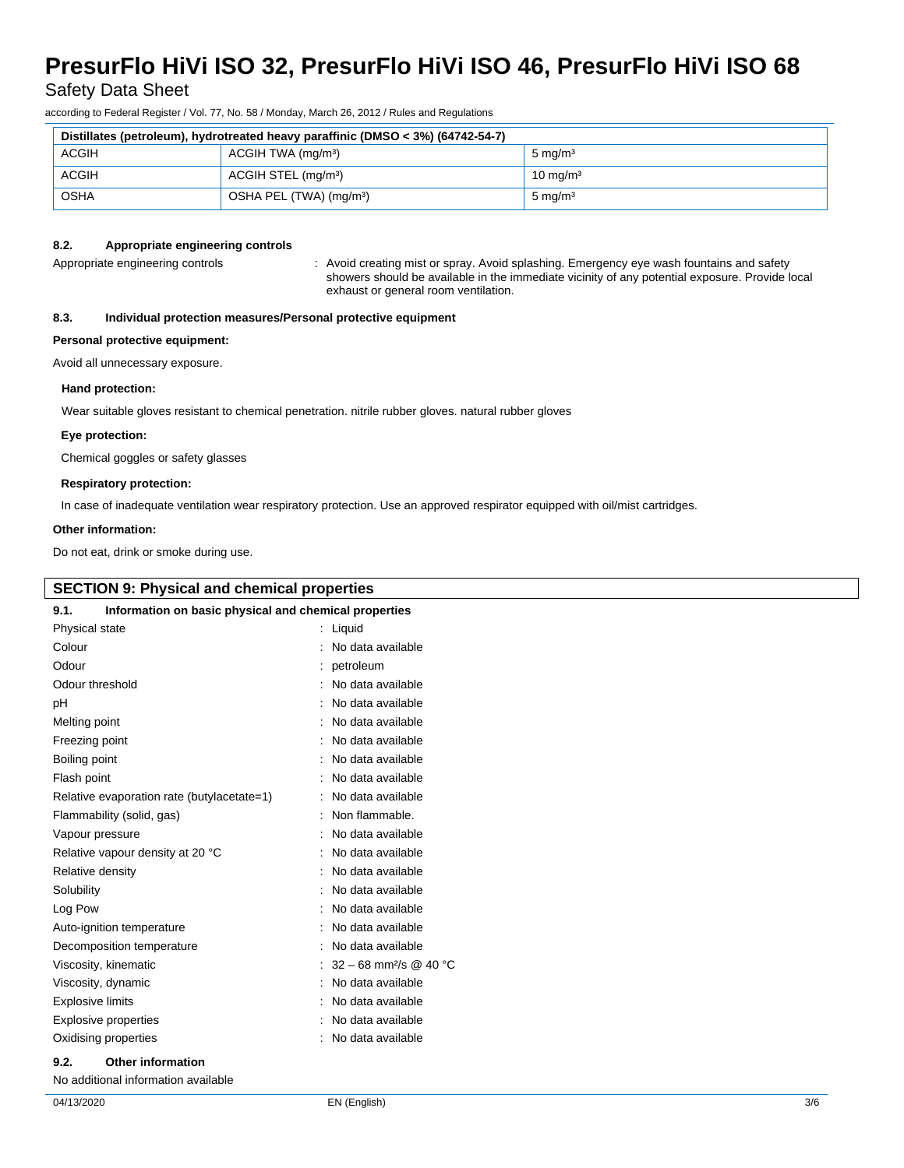Safety Data Sheet

according to Federal Register / Vol. 77, No. 58 / Monday, March 26, 2012 / Rules and Regulations

| Distillates (petroleum), hydrotreated heavy paraffinic (DMSO < 3%) (64742-54-7) |                                     |                     |
|---------------------------------------------------------------------------------|-------------------------------------|---------------------|
| <b>ACGIH</b><br>ACGIH TWA (mg/m <sup>3</sup> )                                  |                                     | $5 \text{ mg/m}^3$  |
| <b>ACGIH</b><br>ACGIH STEL (mg/m <sup>3</sup> )                                 |                                     | $10 \text{ mg/m}^3$ |
| OSHA                                                                            | OSHA PEL (TWA) (mg/m <sup>3</sup> ) | $5 \text{ mg/m}^3$  |

# **8.2. Appropriate engineering controls**

Appropriate engineering controls **intercational creational creating** mist or spray. Avoid splashing. Emergency eye wash fountains and safety showers should be available in the immediate vicinity of any potential exposure. Provide local exhaust or general room ventilation.

# **8.3. Individual protection measures/Personal protective equipment**

#### **Personal protective equipment:**

Avoid all unnecessary exposure.

#### **Hand protection:**

Wear suitable gloves resistant to chemical penetration. nitrile rubber gloves. natural rubber gloves

#### **Eye protection:**

Chemical goggles or safety glasses

### **Respiratory protection:**

In case of inadequate ventilation wear respiratory protection. Use an approved respirator equipped with oil/mist cartridges.

#### **Other information:**

Do not eat, drink or smoke during use.

| <b>SECTION 9: Physical and chemical properties</b>             |                     |  |  |  |
|----------------------------------------------------------------|---------------------|--|--|--|
| Information on basic physical and chemical properties<br>9.1.  |                     |  |  |  |
| Physical state                                                 | : Liquid            |  |  |  |
| Colour                                                         | : No data available |  |  |  |
| Odour                                                          | : petroleum         |  |  |  |
| Odour threshold                                                | : No data available |  |  |  |
| pH                                                             | : No data available |  |  |  |
| Melting point                                                  | : No data available |  |  |  |
| Freezing point                                                 | : No data available |  |  |  |
| Boiling point                                                  | : No data available |  |  |  |
| Flash point                                                    | : No data available |  |  |  |
| Relative evaporation rate (butylacetate=1)                     | : No data available |  |  |  |
| Flammability (solid, gas)                                      | : Non flammable.    |  |  |  |
| Vapour pressure                                                | : No data available |  |  |  |
| Relative vapour density at 20 °C                               | : No data available |  |  |  |
| Relative density                                               | : No data available |  |  |  |
| Solubility                                                     | : No data available |  |  |  |
| Log Pow                                                        | : No data available |  |  |  |
| Auto-ignition temperature                                      | : No data available |  |  |  |
| Decomposition temperature                                      | : No data available |  |  |  |
| : $32 - 68$ mm <sup>2</sup> /s @ 40 °C<br>Viscosity, kinematic |                     |  |  |  |
| Viscosity, dynamic                                             | : No data available |  |  |  |

Explosive limits **Explosive limits Explosive limits Explosive limits Explosive limits Explosive limits EXPLOSIVE 2018** Explosive properties in the set of the set of the set of the set of the set of the set of the set of the set of the set of the set of the set of the set of the set of the set of the set of the set of the set of the set of Oxidising properties **in the Community Community** Contract and Contract Contract Contract Contract Contract Contract Contract Contract Contract Contract Contract Contract Contract Contract Contract Contract Contract Contra

#### **9.2. Other information**

No additional information available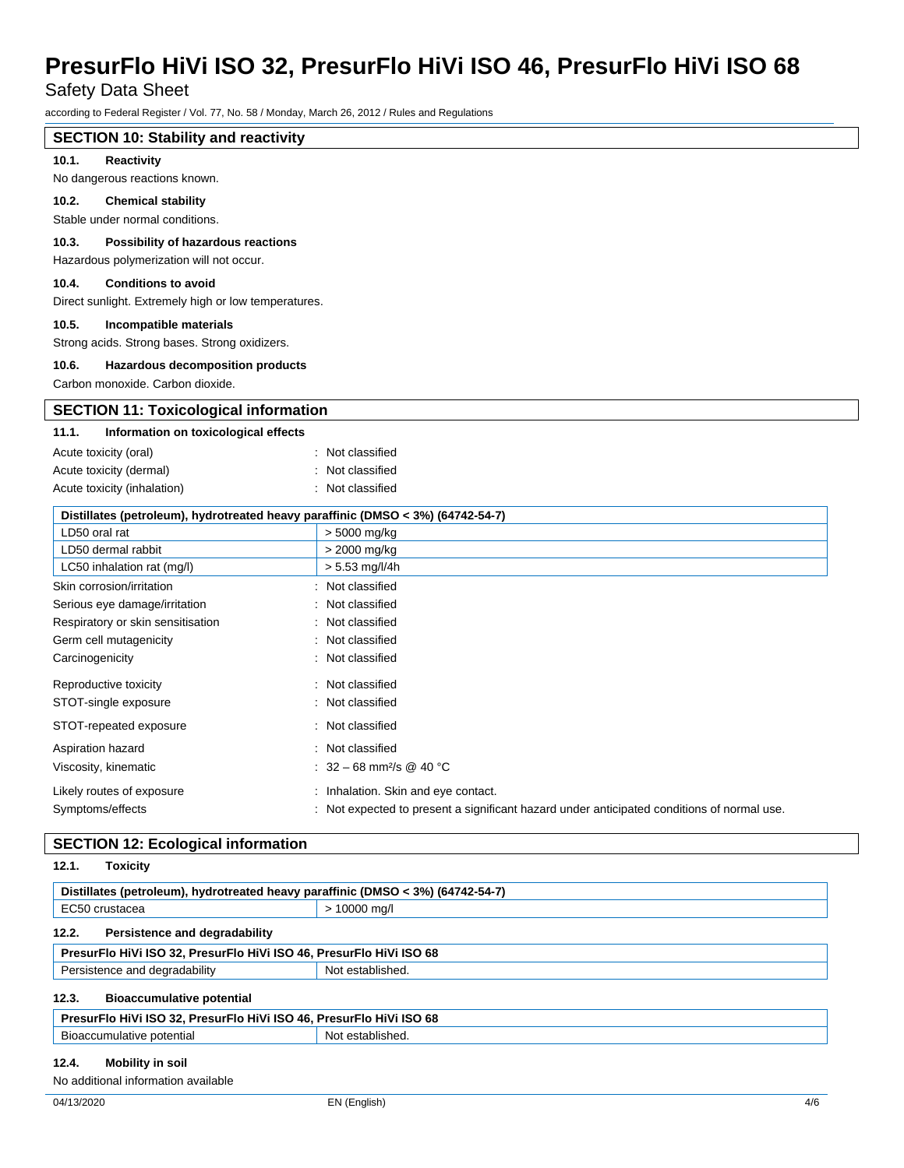Safety Data Sheet

according to Federal Register / Vol. 77, No. 58 / Monday, March 26, 2012 / Rules and Regulations

# **SECTION 10: Stability and reactivity**

### **10.1. Reactivity**

No dangerous reactions known.

#### **10.2. Chemical stability**

Stable under normal conditions.

# **10.3. Possibility of hazardous reactions**

Hazardous polymerization will not occur.

# **10.4. Conditions to avoid**

Direct sunlight. Extremely high or low temperatures.

#### **10.5. Incompatible materials**

Strong acids. Strong bases. Strong oxidizers.

#### **10.6. Hazardous decomposition products**

Carbon monoxide. Carbon dioxide.

# **SECTION 11: Toxicological information**

# **11.1. Information on toxicological effects**

| Acute toxicity (oral)       | : Not classified |
|-----------------------------|------------------|
| Acute toxicity (dermal)     | : Not classified |
| Acute toxicity (inhalation) | : Not classified |

| Distillates (petroleum), hydrotreated heavy paraffinic (DMSO < 3%) (64742-54-7) |                                                                                            |  |
|---------------------------------------------------------------------------------|--------------------------------------------------------------------------------------------|--|
| LD50 oral rat                                                                   | > 5000 mg/kg                                                                               |  |
| LD50 dermal rabbit                                                              | > 2000 mg/kg                                                                               |  |
| LC50 inhalation rat (mg/l)                                                      | $> 5.53$ mg/l/4h                                                                           |  |
| Skin corrosion/irritation                                                       | : Not classified                                                                           |  |
| Serious eye damage/irritation                                                   | : Not classified                                                                           |  |
| Respiratory or skin sensitisation                                               | : Not classified                                                                           |  |
| Germ cell mutagenicity                                                          | : Not classified                                                                           |  |
| Carcinogenicity                                                                 | : Not classified                                                                           |  |
| Reproductive toxicity                                                           | : Not classified                                                                           |  |
| STOT-single exposure                                                            | : Not classified                                                                           |  |
| STOT-repeated exposure                                                          | : Not classified                                                                           |  |
| Aspiration hazard                                                               | : Not classified                                                                           |  |
| Viscosity, kinematic                                                            | : $32 - 68$ mm <sup>2</sup> /s @ 40 °C                                                     |  |
| Likely routes of exposure                                                       | : Inhalation. Skin and eye contact.                                                        |  |
| Symptoms/effects                                                                | : Not expected to present a significant hazard under anticipated conditions of normal use. |  |

# **SECTION 12: Ecological information**

| 12.1.<br>Toxicity                                                               |                |
|---------------------------------------------------------------------------------|----------------|
| Distillates (petroleum), hydrotreated heavy paraffinic (DMSO < 3%) (64742-54-7) |                |
| EC50 crustacea                                                                  | $> 10000$ mg/l |
| 12.2.<br>Persistence and degradability                                          |                |
| PresurFlo HiVi ISO 32, PresurFlo HiVi ISO 46, PresurFlo HiVi ISO 68             |                |
| Persistence and degradability<br>Not established.                               |                |
| 12.3.<br><b>Bioaccumulative potential</b>                                       |                |
| PresurFlo HiVi ISO 32, PresurFlo HiVi ISO 46, PresurFlo HiVi ISO 68             |                |
| Not established.<br>Bioaccumulative potential                                   |                |

## **12.4. Mobility in soil**

No additional information available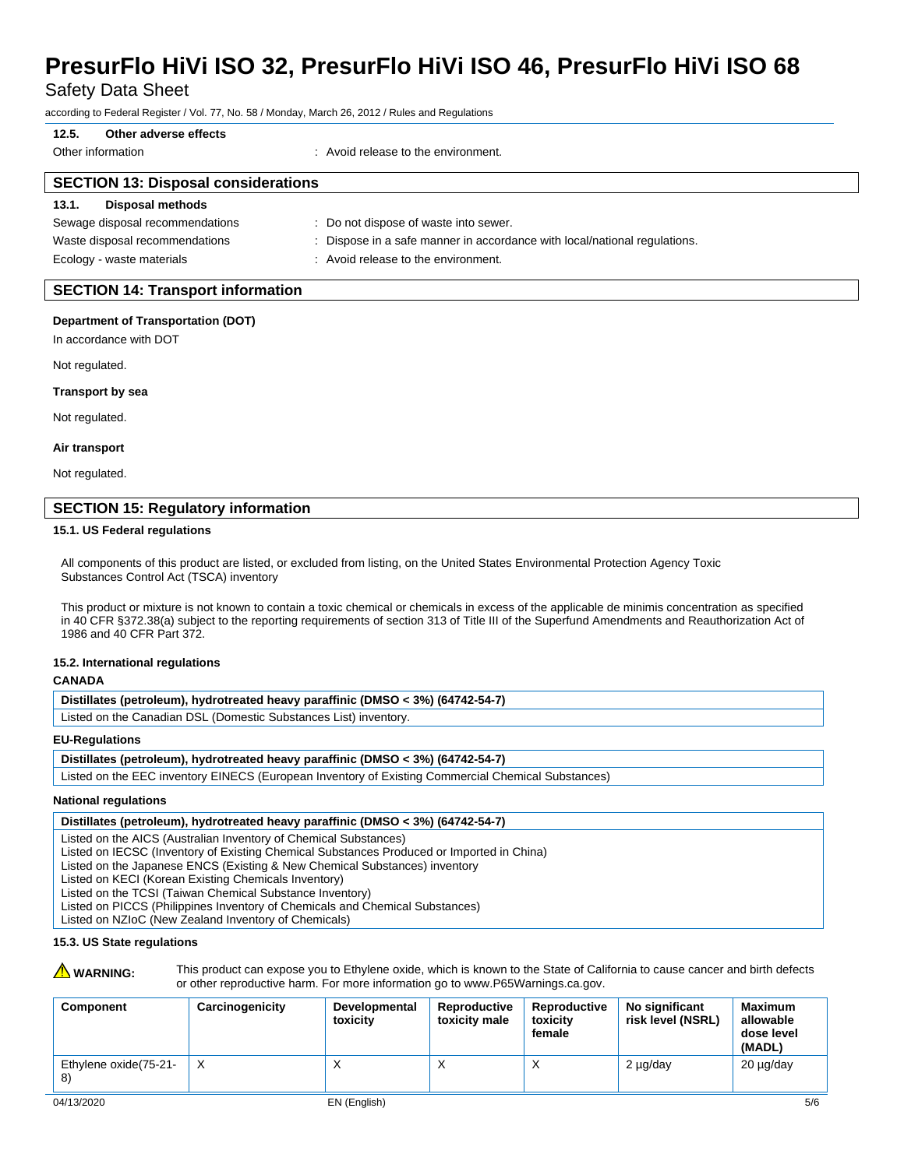Safety Data Sheet

according to Federal Register / Vol. 77, No. 58 / Monday, March 26, 2012 / Rules and Regulations

# **12.5. Other adverse effects**

Other information **Channel Contract Contract Channel Channel Channel Channel Channel Channel Channel Channel Channel Channel Channel Channel Channel Channel Channel Channel Channel Channel Channel Channel Channel Channel C** 

# **SECTION 13: Disposal considerations**

# **13.1. Disposal methods**

| Sewage disposal recommendations | : Do not dispose of waste into sewer.                                     |
|---------------------------------|---------------------------------------------------------------------------|
| Waste disposal recommendations  | : Dispose in a safe manner in accordance with local/national regulations. |
| Ecology - waste materials       | Avoid release to the environment.                                         |

# **SECTION 14: Transport information**

#### **Department of Transportation (DOT)**

In accordance with DOT

Not regulated.

#### **Transport by sea**

Not regulated.

#### **Air transport**

Not regulated.

# **SECTION 15: Regulatory information**

#### **15.1. US Federal regulations**

All components of this product are listed, or excluded from listing, on the United States Environmental Protection Agency Toxic Substances Control Act (TSCA) inventory

This product or mixture is not known to contain a toxic chemical or chemicals in excess of the applicable de minimis concentration as specified in 40 CFR §372.38(a) subject to the reporting requirements of section 313 of Title III of the Superfund Amendments and Reauthorization Act of 1986 and 40 CFR Part 372.

## **15.2. International regulations**

#### **CANADA**

| Distillates (petroleum), hydrotreated heavy paraffinic (DMSO < 3%) (64742-54-7) |  |  |  |
|---------------------------------------------------------------------------------|--|--|--|
| Listed on the Canadian DSL (Domestic Substances List) inventory.                |  |  |  |

#### **EU-Regulations**

Listed on the EEC inventory EINECS (European Inventory of Existing Commercial Chemical Substances)

### **National regulations**

#### **Distillates (petroleum), hydrotreated heavy paraffinic (DMSO < 3%) (64742-54-7)**

Listed on the AICS (Australian Inventory of Chemical Substances)

- Listed on IECSC (Inventory of Existing Chemical Substances Produced or Imported in China)
- Listed on the Japanese ENCS (Existing & New Chemical Substances) inventory

Listed on KECI (Korean Existing Chemicals Inventory)

Listed on the TCSI (Taiwan Chemical Substance Inventory)

Listed on PICCS (Philippines Inventory of Chemicals and Chemical Substances)

Listed on NZIoC (New Zealand Inventory of Chemicals)

# **15.3. US State regulations**

WARNING: This product can expose you to Ethylene oxide, which is known to the State of California to cause cancer and birth defects or other reproductive harm. For more information go to www.P65Warnings.ca.gov.

| Component                   | Carcinogenicity | Developmental<br>toxicity | Reproductive<br>toxicity male | Reproductive<br>toxicity<br>female | No significant<br>risk level (NSRL) | Maximum<br>allowable<br>dose level<br>(MADL) |
|-----------------------------|-----------------|---------------------------|-------------------------------|------------------------------------|-------------------------------------|----------------------------------------------|
| Ethylene oxide(75-21-<br>8) | $\mathsf{X}$    | $\lambda$                 |                               |                                    | 2 µg/day                            | 20 µg/day                                    |